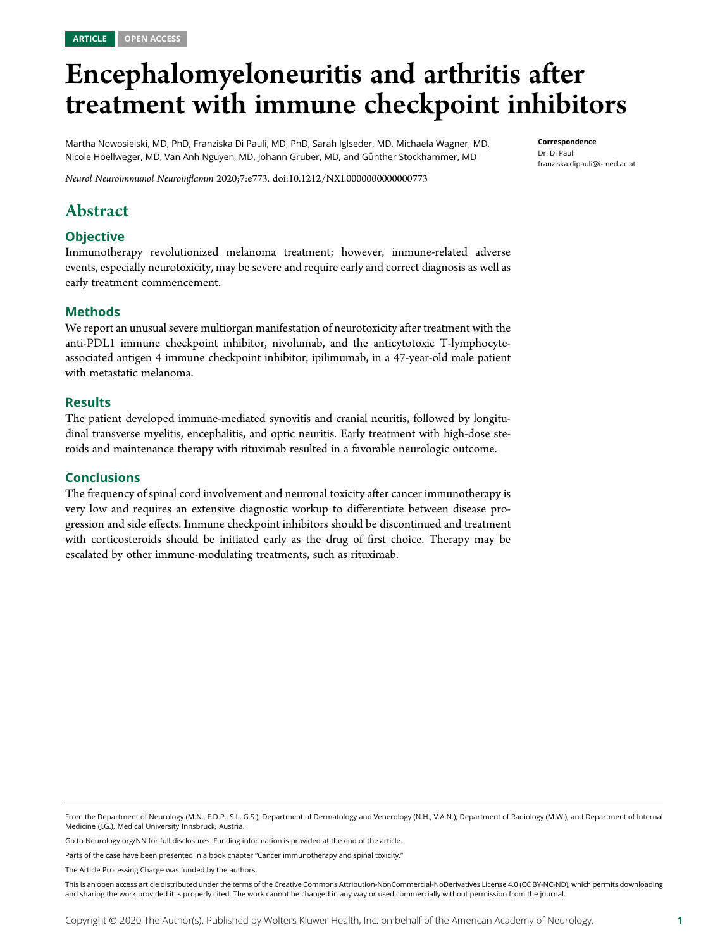# Encephalomyeloneuritis and arthritis after treatment with immune checkpoint inhibitors

Martha Nowosielski, MD, PhD, Franziska Di Pauli, MD, PhD, Sarah Iglseder, MD, Michaela Wagner, MD, Nicole Hoellweger, MD, Van Anh Nguyen, MD, Johann Gruber, MD, and Günther Stockhammer, MD

Neurol Neuroimmunol Neuroinflamm 2020;7:e773. doi[:10.1212/NXI.0000000000000773](http://dx.doi.org/10.1212/NXI.0000000000000773)

## Abstract

#### **Objective**

Immunotherapy revolutionized melanoma treatment; however, immune-related adverse events, especially neurotoxicity, may be severe and require early and correct diagnosis as well as early treatment commencement.

#### **Methods**

We report an unusual severe multiorgan manifestation of neurotoxicity after treatment with the anti-PDL1 immune checkpoint inhibitor, nivolumab, and the anticytotoxic T-lymphocyteassociated antigen 4 immune checkpoint inhibitor, ipilimumab, in a 47-year-old male patient with metastatic melanoma.

#### **Results**

The patient developed immune-mediated synovitis and cranial neuritis, followed by longitudinal transverse myelitis, encephalitis, and optic neuritis. Early treatment with high-dose steroids and maintenance therapy with rituximab resulted in a favorable neurologic outcome.

#### Conclusions

The frequency of spinal cord involvement and neuronal toxicity after cancer immunotherapy is very low and requires an extensive diagnostic workup to differentiate between disease progression and side effects. Immune checkpoint inhibitors should be discontinued and treatment with corticosteroids should be initiated early as the drug of first choice. Therapy may be escalated by other immune-modulating treatments, such as rituximab.

Correspondence Dr. Di Pauli [franziska.dipauli@i-med.ac.at](mailto:franziska.dipauli@i-med.ac.at)

From the Department of Neurology (M.N., F.D.P., S.I., G.S.); Department of Dermatology and Venerology (N.H., V.A.N.); Department of Radiology (M.W.); and Department of Internal Medicine (J.G.), Medical University Innsbruck, Austria.

Go to [Neurology.org/NN](https://nn.neurology.org/content/7/4/e773/tab-article-info) for full disclosures. Funding information is provided at the end of the article.

Parts of the case have been presented in a book chapter "Cancer immunotherapy and spinal toxicity."

The Article Processing Charge was funded by the authors.

This is an open access article distributed under the terms of the [Creative Commons Attribution-NonCommercial-NoDerivatives License 4.0 \(CC BY-NC-ND\),](http://creativecommons.org/licenses/by-nc-nd/4.0/) which permits downloading and sharing the work provided it is properly cited. The work cannot be changed in any way or used commercially without permission from the journal.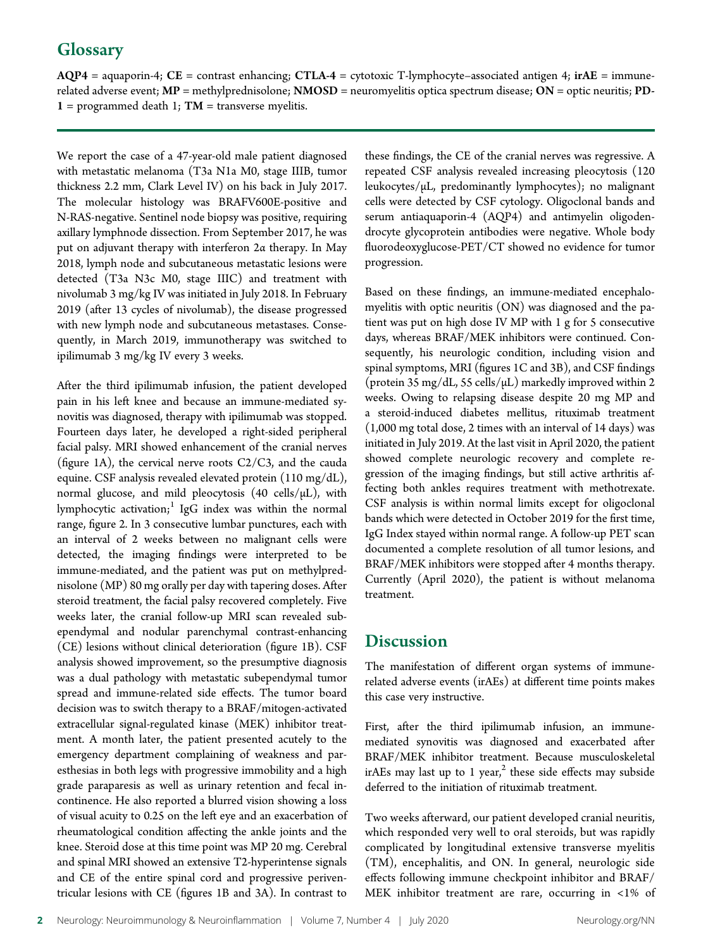# **Glossary**

 $AQP4 = aquaporin-4; CE = contrast enhancing; CTLA-4 = cytotoxic T-lymphocyte-associated antigen 4; irAE = immunee-1; CCE = contrast enhancing; CTLA-4 = cytotoxic T-lymphocyte-associated antigen 4; irAE = immunee-1; CCE = 1; CCE = 1; CCE = 1; CCE = 1; CCE = 1; CCE = 1; CCE = 1; CCE = 1; CCE = 1; CCE = 1; CCE = 1; CCE = 1; CCE = 1; CCE = 1; CCE = 1; CCE = 1; CCE = 1; CCE = 1; CCE = 1; CCE = 1; CCE = 1; CCE = 1; CCE = 1; CCE = 1;$ related adverse event;  $MP =$  methylprednisolone;  $NMOSD =$  neuromyelitis optica spectrum disease;  $ON =$  optic neuritis; PD- $1 =$  programmed death 1;  $TM =$  transverse myelitis.

We report the case of a 47-year-old male patient diagnosed with metastatic melanoma (T3a N1a M0, stage IIIB, tumor thickness 2.2 mm, Clark Level IV) on his back in July 2017. The molecular histology was BRAFV600E-positive and N-RAS-negative. Sentinel node biopsy was positive, requiring axillary lymphnode dissection. From September 2017, he was put on adjuvant therapy with interferon 2α therapy. In May 2018, lymph node and subcutaneous metastatic lesions were detected (T3a N3c M0, stage IIIC) and treatment with nivolumab 3 mg/kg IV was initiated in July 2018. In February 2019 (after 13 cycles of nivolumab), the disease progressed with new lymph node and subcutaneous metastases. Consequently, in March 2019, immunotherapy was switched to ipilimumab 3 mg/kg IV every 3 weeks.

After the third ipilimumab infusion, the patient developed pain in his left knee and because an immune-mediated synovitis was diagnosed, therapy with ipilimumab was stopped. Fourteen days later, he developed a right-sided peripheral facial palsy. MRI showed enhancement of the cranial nerves (figure 1A), the cervical nerve roots C2/C3, and the cauda equine. CSF analysis revealed elevated protein (110 mg/dL), normal glucose, and mild pleocytosis (40 cells/μL), with lymphocytic activation;<sup>1</sup> IgG index was within the normal range, figure 2. In 3 consecutive lumbar punctures, each with an interval of 2 weeks between no malignant cells were detected, the imaging findings were interpreted to be immune-mediated, and the patient was put on methylprednisolone (MP) 80 mg orally per day with tapering doses. After steroid treatment, the facial palsy recovered completely. Five weeks later, the cranial follow-up MRI scan revealed subependymal and nodular parenchymal contrast-enhancing (CE) lesions without clinical deterioration (figure 1B). CSF analysis showed improvement, so the presumptive diagnosis was a dual pathology with metastatic subependymal tumor spread and immune-related side effects. The tumor board decision was to switch therapy to a BRAF/mitogen-activated extracellular signal-regulated kinase (MEK) inhibitor treatment. A month later, the patient presented acutely to the emergency department complaining of weakness and paresthesias in both legs with progressive immobility and a high grade paraparesis as well as urinary retention and fecal incontinence. He also reported a blurred vision showing a loss of visual acuity to 0.25 on the left eye and an exacerbation of rheumatological condition affecting the ankle joints and the knee. Steroid dose at this time point was MP 20 mg. Cerebral and spinal MRI showed an extensive T2-hyperintense signals and CE of the entire spinal cord and progressive periventricular lesions with CE (figures 1B and 3A). In contrast to

these findings, the CE of the cranial nerves was regressive. A repeated CSF analysis revealed increasing pleocytosis (120 leukocytes/μL, predominantly lymphocytes); no malignant cells were detected by CSF cytology. Oligoclonal bands and serum antiaquaporin-4 (AQP4) and antimyelin oligodendrocyte glycoprotein antibodies were negative. Whole body fluorodeoxyglucose-PET/CT showed no evidence for tumor progression.

Based on these findings, an immune-mediated encephalomyelitis with optic neuritis (ON) was diagnosed and the patient was put on high dose IV MP with 1 g for 5 consecutive days, whereas BRAF/MEK inhibitors were continued. Consequently, his neurologic condition, including vision and spinal symptoms, MRI (figures 1C and 3B), and CSF findings (protein 35 mg/dL, 55 cells/μL) markedly improved within 2 weeks. Owing to relapsing disease despite 20 mg MP and a steroid-induced diabetes mellitus, rituximab treatment (1,000 mg total dose, 2 times with an interval of 14 days) was initiated in July 2019. At the last visit in April 2020, the patient showed complete neurologic recovery and complete regression of the imaging findings, but still active arthritis affecting both ankles requires treatment with methotrexate. CSF analysis is within normal limits except for oligoclonal bands which were detected in October 2019 for the first time, IgG Index stayed within normal range. A follow-up PET scan documented a complete resolution of all tumor lesions, and BRAF/MEK inhibitors were stopped after 4 months therapy. Currently (April 2020), the patient is without melanoma treatment.

## **Discussion**

The manifestation of different organ systems of immunerelated adverse events (irAEs) at different time points makes this case very instructive.

First, after the third ipilimumab infusion, an immunemediated synovitis was diagnosed and exacerbated after BRAF/MEK inhibitor treatment. Because musculoskeletal irAEs may last up to 1 year,<sup>2</sup> these side effects may subside deferred to the initiation of rituximab treatment.

Two weeks afterward, our patient developed cranial neuritis, which responded very well to oral steroids, but was rapidly complicated by longitudinal extensive transverse myelitis (TM), encephalitis, and ON. In general, neurologic side effects following immune checkpoint inhibitor and BRAF/ MEK inhibitor treatment are rare, occurring in <1% of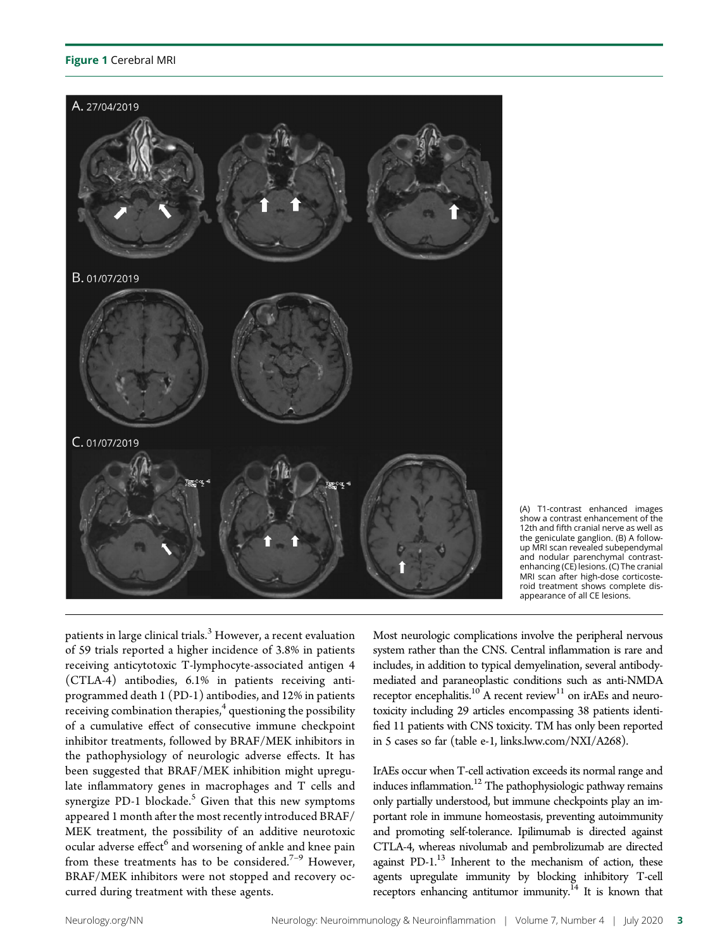#### Figure 1 Cerebral MRI





patients in large clinical trials.<sup>3</sup> However, a recent evaluation of 59 trials reported a higher incidence of 3.8% in patients receiving anticytotoxic T-lymphocyte-associated antigen 4 (CTLA-4) antibodies, 6.1% in patients receiving antiprogrammed death 1 (PD-1) antibodies, and 12% in patients receiving combination therapies, $<sup>4</sup>$  questioning the possibility</sup> of a cumulative effect of consecutive immune checkpoint inhibitor treatments, followed by BRAF/MEK inhibitors in the pathophysiology of neurologic adverse effects. It has been suggested that BRAF/MEK inhibition might upregulate inflammatory genes in macrophages and T cells and synergize PD-1 blockade. $5$  Given that this new symptoms appeared 1 month after the most recently introduced BRAF/ MEK treatment, the possibility of an additive neurotoxic ocular adverse effect<sup>6</sup> and worsening of ankle and knee pain from these treatments has to be considered.<sup>7-9</sup> However, BRAF/MEK inhibitors were not stopped and recovery occurred during treatment with these agents.

Most neurologic complications involve the peripheral nervous system rather than the CNS. Central inflammation is rare and includes, in addition to typical demyelination, several antibodymediated and paraneoplastic conditions such as anti-NMDA receptor encephalitis.<sup>10</sup> A recent review<sup>11</sup> on irAEs and neurotoxicity including 29 articles encompassing 38 patients identified 11 patients with CNS toxicity. TM has only been reported in 5 cases so far (table e-1, [links.lww.com/NXI/A268](http://links.lww.com/NXI/A268)).

IrAEs occur when T-cell activation exceeds its normal range and induces inflammation.<sup>12</sup> The pathophysiologic pathway remains only partially understood, but immune checkpoints play an important role in immune homeostasis, preventing autoimmunity and promoting self-tolerance. Ipilimumab is directed against CTLA-4, whereas nivolumab and pembrolizumab are directed against PD-1. $^{13}$  Inherent to the mechanism of action, these agents upregulate immunity by blocking inhibitory T-cell receptors enhancing antitumor immunity.<sup>14</sup> It is known that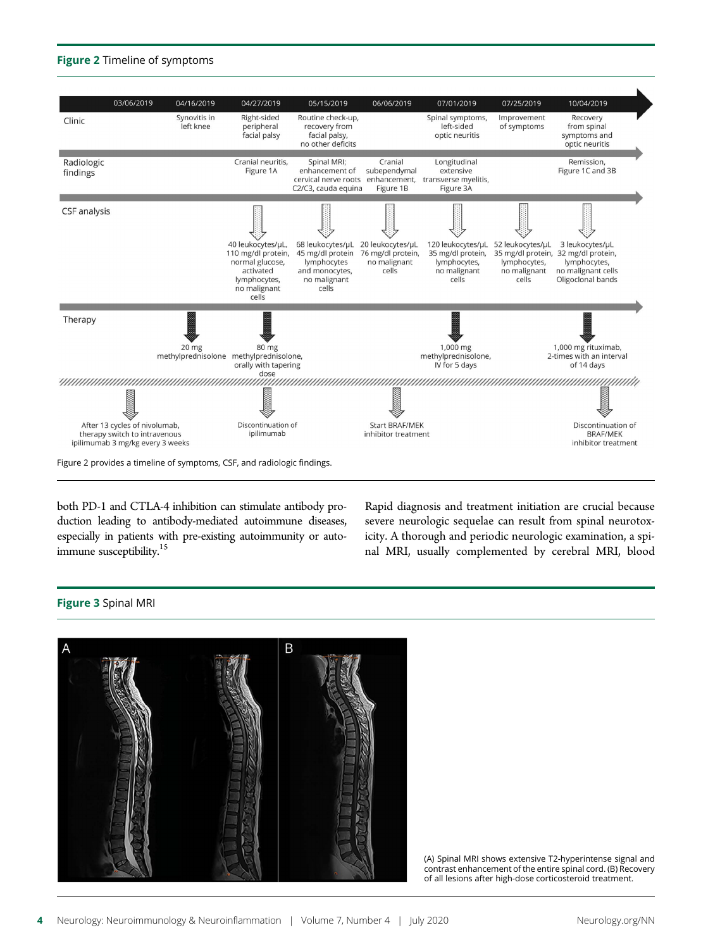#### Figure 2 Timeline of symptoms



both PD-1 and CTLA-4 inhibition can stimulate antibody production leading to antibody-mediated autoimmune diseases, especially in patients with pre-existing autoimmunity or autoimmune susceptibility.<sup>15</sup>

Rapid diagnosis and treatment initiation are crucial because severe neurologic sequelae can result from spinal neurotoxicity. A thorough and periodic neurologic examination, a spinal MRI, usually complemented by cerebral MRI, blood

#### **Figure 3 Spinal MRI**



(A) Spinal MRI shows extensive T2-hyperintense signal and contrast enhancement of the entire spinal cord. (B) Recovery of all lesions after high-dose corticosteroid treatment.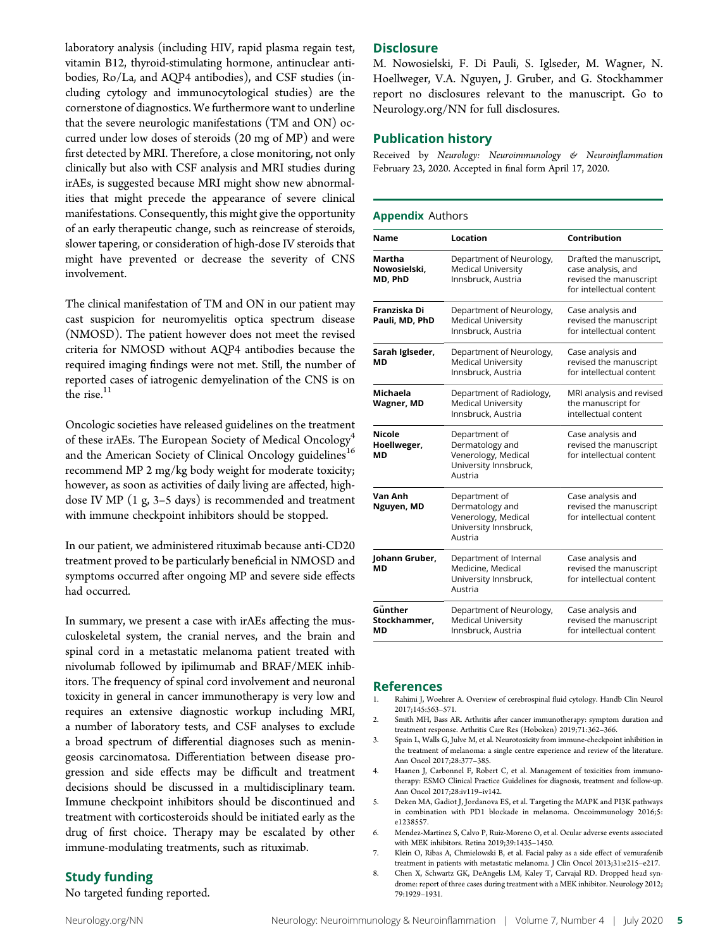laboratory analysis (including HIV, rapid plasma regain test, vitamin B12, thyroid-stimulating hormone, antinuclear antibodies, Ro/La, and AQP4 antibodies), and CSF studies (including cytology and immunocytological studies) are the cornerstone of diagnostics. We furthermore want to underline that the severe neurologic manifestations (TM and ON) occurred under low doses of steroids (20 mg of MP) and were first detected by MRI. Therefore, a close monitoring, not only clinically but also with CSF analysis and MRI studies during irAEs, is suggested because MRI might show new abnormalities that might precede the appearance of severe clinical manifestations. Consequently, this might give the opportunity of an early therapeutic change, such as reincrease of steroids, slower tapering, or consideration of high-dose IV steroids that might have prevented or decrease the severity of CNS involvement.

The clinical manifestation of TM and ON in our patient may cast suspicion for neuromyelitis optica spectrum disease (NMOSD). The patient however does not meet the revised criteria for NMOSD without AQP4 antibodies because the required imaging findings were not met. Still, the number of reported cases of iatrogenic demyelination of the CNS is on the rise. $11$ 

Oncologic societies have released guidelines on the treatment of these irAEs. The European Society of Medical Oncology<sup>4</sup> and the American Society of Clinical Oncology guidelines<sup>16</sup> recommend MP 2 mg/kg body weight for moderate toxicity; however, as soon as activities of daily living are affected, highdose IV MP (1 g, 3–5 days) is recommended and treatment with immune checkpoint inhibitors should be stopped.

In our patient, we administered rituximab because anti-CD20 treatment proved to be particularly beneficial in NMOSD and symptoms occurred after ongoing MP and severe side effects had occurred.

In summary, we present a case with irAEs affecting the musculoskeletal system, the cranial nerves, and the brain and spinal cord in a metastatic melanoma patient treated with nivolumab followed by ipilimumab and BRAF/MEK inhibitors. The frequency of spinal cord involvement and neuronal toxicity in general in cancer immunotherapy is very low and requires an extensive diagnostic workup including MRI, a number of laboratory tests, and CSF analyses to exclude a broad spectrum of differential diagnoses such as meningeosis carcinomatosa. Differentiation between disease progression and side effects may be difficult and treatment decisions should be discussed in a multidisciplinary team. Immune checkpoint inhibitors should be discontinued and treatment with corticosteroids should be initiated early as the drug of first choice. Therapy may be escalated by other immune-modulating treatments, such as rituximab.

#### Study funding

No targeted funding reported.

#### **Disclosure**

M. Nowosielski, F. Di Pauli, S. Iglseder, M. Wagner, N. Hoellweger, V.A. Nguyen, J. Gruber, and G. Stockhammer report no disclosures relevant to the manuscript. Go to [Neurology.org/NN](https://nn.neurology.org/content/7/4/e773/tab-article-info) for full disclosures.

#### Publication history

Received by Neurology: Neuroimmunology & Neuroinflammation February 23, 2020. Accepted in final form April 17, 2020.

#### Appendix Authors

| <b>Name</b>                       | Location                                                                                    | Contribution                                                                                        |
|-----------------------------------|---------------------------------------------------------------------------------------------|-----------------------------------------------------------------------------------------------------|
| Martha<br>Nowosielski,<br>MD, PhD | Department of Neurology,<br><b>Medical University</b><br>Innsbruck, Austria                 | Drafted the manuscript,<br>case analysis, and<br>revised the manuscript<br>for intellectual content |
| Franziska Di<br>Pauli, MD, PhD    | Department of Neurology,<br><b>Medical University</b><br>Innsbruck, Austria                 | Case analysis and<br>revised the manuscript<br>for intellectual content                             |
| Sarah Iglseder,<br>МD             | Department of Neurology,<br><b>Medical University</b><br>Innsbruck, Austria                 | Case analysis and<br>revised the manuscript<br>for intellectual content                             |
| Michaela<br>Wagner, MD            | Department of Radiology,<br><b>Medical University</b><br>Innsbruck, Austria                 | MRI analysis and revised<br>the manuscript for<br>intellectual content                              |
| Nicole<br>Hoellweger,<br>МD       | Department of<br>Dermatology and<br>Venerology, Medical<br>University Innsbruck,<br>Austria | Case analysis and<br>revised the manuscript<br>for intellectual content                             |
| Van Anh<br>Nguyen, MD             | Department of<br>Dermatology and<br>Venerology, Medical<br>University Innsbruck,<br>Austria | Case analysis and<br>revised the manuscript<br>for intellectual content                             |
| Johann Gruber,<br>МD              | Department of Internal<br>Medicine, Medical<br>University Innsbruck,<br>Austria             | Case analysis and<br>revised the manuscript<br>for intellectual content                             |
| Günther<br>Stockhammer,<br>МD     | Department of Neurology,<br><b>Medical University</b><br>Innsbruck, Austria                 | Case analysis and<br>revised the manuscript<br>for intellectual content                             |

# **References**<br>1. Rahimi I. Woel

- Rahimi J, Woehrer A. Overview of cerebrospinal fluid cytology. Handb Clin Neurol 2017;145:563–571.
- 2. Smith MH, Bass AR. Arthritis after cancer immunotherapy: symptom duration and treatment response. Arthritis Care Res (Hoboken) 2019;71:362–366.
- 3. Spain L, Walls G, Julve M, et al. Neurotoxicity from immune-checkpoint inhibition in the treatment of melanoma: a single centre experience and review of the literature. Ann Oncol 2017;28:377–385.
- 4. Haanen J, Carbonnel F, Robert C, et al. Management of toxicities from immunotherapy: ESMO Clinical Practice Guidelines for diagnosis, treatment and follow-up. Ann Oncol 2017;28:iv119–iv142.
- 5. Deken MA, Gadiot J, Jordanova ES, et al. Targeting the MAPK and PI3K pathways in combination with PD1 blockade in melanoma. Oncoimmunology 2016;5: e1238557.
- 6. Mendez-Martinez S, Calvo P, Ruiz-Moreno O, et al. Ocular adverse events associated with MEK inhibitors. Retina 2019;39:1435–1450.
- 7. Klein O, Ribas A, Chmielowski B, et al. Facial palsy as a side effect of vemurafenib treatment in patients with metastatic melanoma. J Clin Oncol 2013;31:e215–e217.
- 8. Chen X, Schwartz GK, DeAngelis LM, Kaley T, Carvajal RD. Dropped head syndrome: report of three cases during treatment with a MEK inhibitor. Neurology 2012; 79:1929–1931.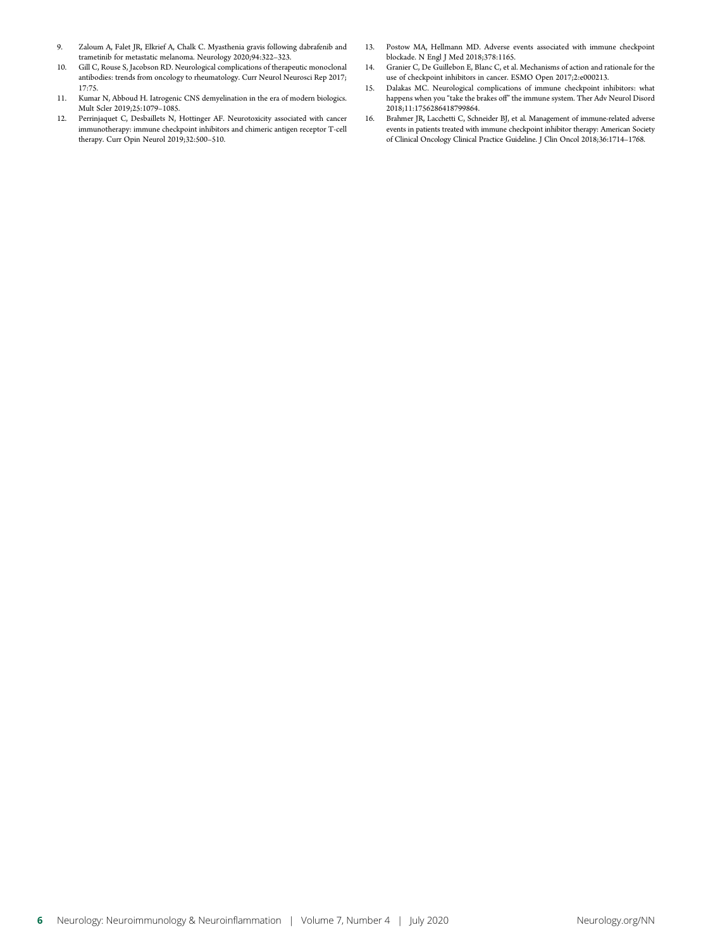- 9. Zaloum A, Falet JR, Elkrief A, Chalk C. Myasthenia gravis following dabrafenib and trametinib for metastatic melanoma. Neurology 2020;94:322–323.
- 10. Gill C, Rouse S, Jacobson RD. Neurological complications of therapeutic monoclonal antibodies: trends from oncology to rheumatology. Curr Neurol Neurosci Rep 2017; 17:75.
- 11. Kumar N, Abboud H. Iatrogenic CNS demyelination in the era of modern biologics. Mult Scler 2019;25:1079–1085.
- 12. Perrinjaquet C, Desbaillets N, Hottinger AF. Neurotoxicity associated with cancer immunotherapy: immune checkpoint inhibitors and chimeric antigen receptor T-cell therapy. Curr Opin Neurol 2019;32:500–510.
- 13. Postow MA, Hellmann MD. Adverse events associated with immune checkpoint blockade. N Engl J Med 2018;378:1165.
- 14. Granier C, De Guillebon E, Blanc C, et al. Mechanisms of action and rationale for the use of checkpoint inhibitors in cancer. ESMO Open 2017;2:e000213.
- 15. Dalakas MC. Neurological complications of immune checkpoint inhibitors: what happens when you "take the brakes off" the immune system. Ther Adv Neurol Disord 2018;11:1756286418799864.
- 16. Brahmer JR, Lacchetti C, Schneider BJ, et al. Management of immune-related adverse events in patients treated with immune checkpoint inhibitor therapy: American Society of Clinical Oncology Clinical Practice Guideline. J Clin Oncol 2018;36:1714–1768.